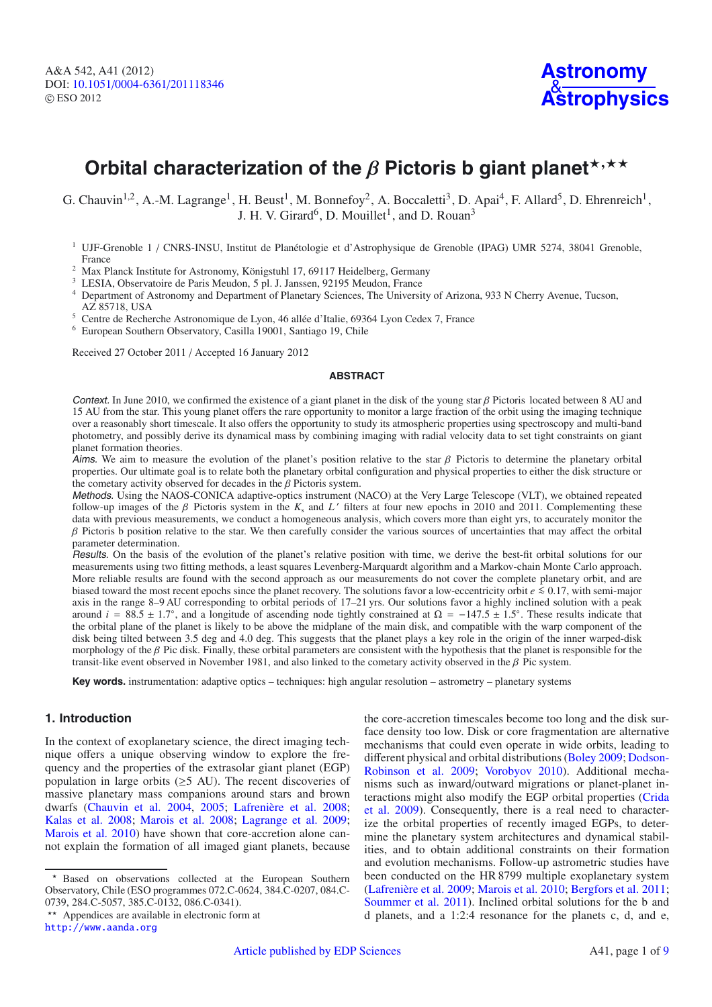# **Orbital characterization of the β Pictoris b giant planet**<sup>\*,\*\*</sup>

G. Chauvin<sup>1,2</sup>, A.-M. Lagrange<sup>1</sup>, H. Beust<sup>1</sup>, M. Bonnefoy<sup>2</sup>, A. Boccaletti<sup>3</sup>, D. Apai<sup>4</sup>, F. Allard<sup>5</sup>, D. Ehrenreich<sup>1</sup>, J. H. V. Girard<sup>6</sup>, D. Mouillet<sup>1</sup>, and D. Rouan<sup>3</sup>

- <sup>2</sup> Max Planck Institute for Astronomy, Königstuhl 17, 69117 Heidelberg, Germany
- <sup>3</sup> LESIA, Observatoire de Paris Meudon, 5 pl. J. Janssen, 92195 Meudon, France
- <sup>4</sup> Department of Astronomy and Department of Planetary Sciences, The University of Arizona, 933 N Cherry Avenue, Tucson,
- AZ 85718, USA
- <sup>5</sup> Centre de Recherche Astronomique de Lyon, 46 allée d'Italie, 69364 Lyon Cedex 7, France
- <sup>6</sup> European Southern Observatory, Casilla 19001, Santiago 19, Chile

Received 27 October 2011 / Accepted 16 January 2012

#### **ABSTRACT**

Context. In June 2010, we confirmed the existence of a giant planet in the disk of the young star  $\beta$  Pictoris located between 8 AU and 15 AU from the star. This young planet offers the rare opportunity to monitor a large fraction of the orbit using the imaging technique over a reasonably short timescale. It also offers the opportunity to study its atmospheric properties using spectroscopy and multi-band photometry, and possibly derive its dynamical mass by combining imaging with radial velocity data to set tight constraints on giant planet formation theories.

Aims. We aim to measure the evolution of the planet's position relative to the star  $\beta$  Pictoris to determine the planetary orbital properties. Our ultimate goal is to relate both the planetary orbital configuration and physical properties to either the disk structure or the cometary activity observed for decades in the β Pictoris system.<br>Methods. Using the NAOS-CONICA adaptive-optics instrument (NACO) at the Very Large Telescope (VLT), we obtained repeated

follow-up images of the  $\beta$  Pictoris system in the  $K_s$  and  $L'$  filters at four new epochs in 2010 and 2011. Complementing these data with previous measurements, we conduct a homogeneous analysis, which covers more than eight yrs, to accurately monitor the  $β$  Pictoris b position relative to the star. We then carefully consider the various sources of uncertainties that may affect the orbital parameter determination.

Results. On the basis of the evolution of the planet's relative position with time, we derive the best-fit orbital solutions for our measurements using two fitting methods, a least squares Levenberg-Marquardt algorithm and a Markov-chain Monte Carlo approach. More reliable results are found with the second approach as our measurements do not cover the complete planetary orbit, and are biased toward the most recent epochs since the planet recovery. The solutions favor a low-eccentricity orbit *e* ≤ 0.17, with semi-major axis in the range 8–9 AU corresponding to orbital periods of 17–21 yrs. Our solutions favor a highly inclined solution with a peak around  $i = 88.5 \pm 1.7°$ , and a longitude of ascending node tightly constrained at  $\Omega = -147.5 \pm 1.5°$ . These results indicate that the orbital plane of the planet is likely to be above the midplane of the main disk, and compatible with the warp component of the disk being tilted between 3.5 deg and 4.0 deg. This suggests that the planet plays a key role in the origin of the inner warped-disk morphology of the  $\beta$  Pic disk. Finally, these orbital parameters are consistent with the hypothesis that the planet is responsible for the transit-like event observed in November 1981, and also linked to the cometary activity observed in the β Pic system.

**Key words.** instrumentation: adaptive optics – techniques: high angular resolution – astrometry – planetary systems

# **1. Introduction**

In the context of exoplanetary science, the direct imaging technique offers a unique observing window to explore the frequency and the properties of the extrasolar giant planet (EGP) population in large orbits ( $\geq$ 5 AU). The recent discoveries of massive planetary mass companions around stars and brown dwarfs [\(Chauvin et al. 2004,](#page-6-0) [2005;](#page-6-1) [Lafrenière et al. 2008;](#page-6-2) [Kalas et al. 2008](#page-6-3); [Marois et al. 2008](#page-6-4); [Lagrange et al. 2009;](#page-6-5) [Marois et al. 2010](#page-6-6)) have shown that core-accretion alone cannot explain the formation of all imaged giant planets, because

the core-accretion timescales become too long and the disk surface density too low. Disk or core fragmentation are alternative mechanisms that could even operate in wide orbits, leading to different physica[l and orbital distributions](#page-6-8) [\(Boley 2009](#page-6-7)[;](#page-6-8) Dodson-Robinson et al. [2009;](#page-6-8) [Vorobyov 2010](#page-6-9)). Additional mechanisms such as inward/outward migrations or planet-planet interac[tions might also modify the EGP orbital properties \(](#page-6-10)Crida et al. [2009](#page-6-10)). Consequently, there is a real need to characterize the orbital properties of recently imaged EGPs, to determine the planetary system architectures and dynamical stabilities, and to obtain additional constraints on their formation and evolution mechanisms. Follow-up astrometric studies have been conducted on the HR 8799 multiple exoplanetary system [\(Lafrenière et al. 2009;](#page-6-11) [Marois et al. 2010](#page-6-6); [Bergfors et al. 2011;](#page-6-12) [Soummer et al. 2011\)](#page-6-13). Inclined orbital solutions for the b and d planets, and a 1:2:4 resonance for the planets c, d, and e,

<sup>&</sup>lt;sup>1</sup> UJF-Grenoble 1 / CNRS-INSU, Institut de Planétologie et d'Astrophysique de Grenoble (IPAG) UMR 5274, 38041 Grenoble, France

Based on observations collected at the European Southern Observatory, Chile (ESO programmes 072.C-0624, 384.C-0207, 084.C-0739, 284.C-5057, 385.C-0132, 086.C-0341).

<sup>\*\*</sup> Appendices are available in electronic form at <http://www.aanda.org>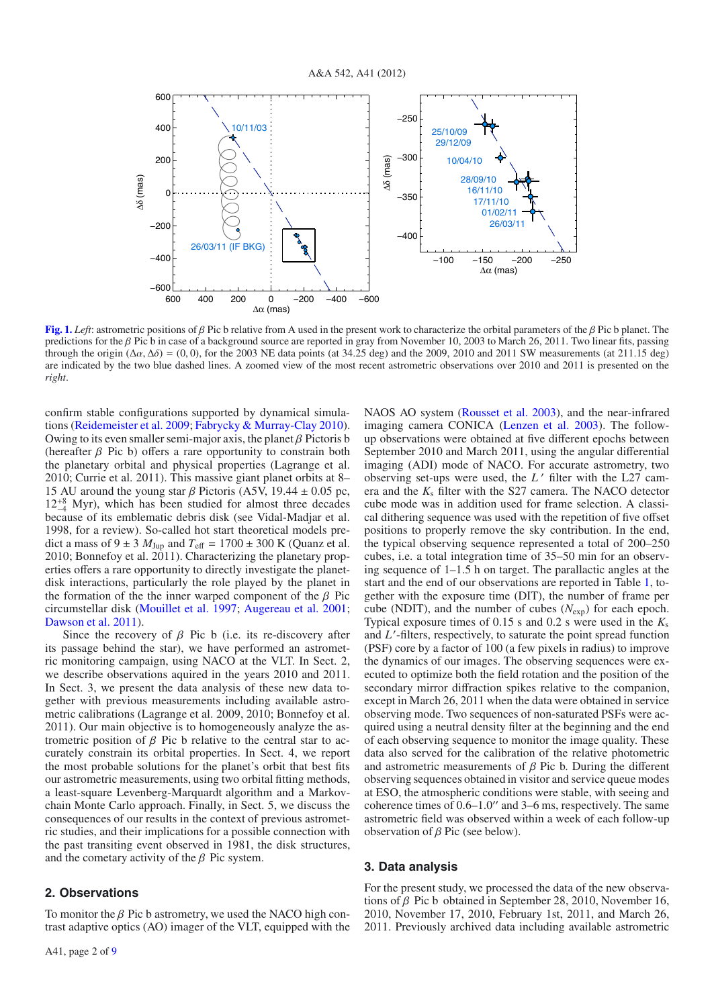

**[Fig. 1.](http://dexter.edpsciences.org/applet.php?DOI=10.1051/0004-6361/201118346&pdf_id=1)** *Left*: astrometric positions of β Pic b relative from A used in the present work to characterize the orbital parameters of the β Pic b planet. The predictions for the β Pic b in case of a background source are reported in gray from November 10, 2003 to March 26, 2011. Two linear fits, passing through the origin (Δ $\alpha$ , Δ $\delta$ ) = (0, 0), for the 2003 NE data points (at 34.25 deg) and the 2009, 2010 and 2011 SW measurements (at 211.15 deg) are indicated by the two blue dashed lines. A zoomed view of the most recent astrometric observations over 2010 and 2011 is presented on the *right*.

confirm stable configurations supported by dynamical simulations [\(Reidemeister et al. 2009;](#page-6-14) [Fabrycky & Murray-Clay 2010\)](#page-6-15). Owing to its even smaller semi-major axis, the planet  $\beta$  Pictoris b (hereafter  $\beta$  Pic b) offers a rare opportunity to constrain both the planetary orbital and physical properties (Lagrange et al. 2010; Currie et al. 2011). This massive giant planet orbits at 8– 15 AU around the young star  $\beta$  Pictoris (A5V, 19.44  $\pm$  0.05 pc,  $12^{+8}_{-4}$  Myr), which has been studied for almost three decades because of its emblematic debris disk (see Vidal-Madjar et al. 1998, for a review). So-called hot start theoretical models predict a mass of  $9 \pm 3$   $M_{\text{Jup}}$  and  $T_{\text{eff}} = 1700 \pm 300$  K (Quanz et al.  $2010$ ; Bonnefoy et al.  $2011$ ). Characterizing the planetary properties offers a rare opportunity to directly investigate the planetdisk interactions, particularly the role played by the planet in the formation of the the inner warped component of the  $\beta$  Pic circumstellar disk [\(Mouillet et al. 1997](#page-6-16); [Augereau et al. 2001;](#page-6-17) [Dawson et al. 2011\)](#page-6-18).

Since the recovery of  $\beta$  Pic b (i.e. its re-discovery after its passage behind the star), we have performed an astrometric monitoring campaign, using NACO at the VLT. In Sect. 2, we describe observations aquired in the years 2010 and 2011. In Sect. 3, we present the data analysis of these new data together with previous measurements including available astrometric calibrations (Lagrange et al. 2009, 2010; Bonnefoy et al. 2011). Our main objective is to homogeneously analyze the astrometric position of  $\beta$  Pic b relative to the central star to accurately constrain its orbital properties. In Sect. 4, we report the most probable solutions for the planet's orbit that best fits our astrometric measurements, using two orbital fitting methods, a least-square Levenberg-Marquardt algorithm and a Markovchain Monte Carlo approach. Finally, in Sect. 5, we discuss the consequences of our results in the context of previous astrometric studies, and their implications for a possible connection with the past transiting event observed in 1981, the disk structures, and the cometary activity of the  $\beta$  Pic system.

## **2. Observations**

To monitor the  $\beta$  Pic b astrometry, we used the NACO high contrast adaptive optics (AO) imager of the VLT, equipped with the NAOS AO system [\(Rousset et al. 2003\)](#page-6-19), and the near-infrared imaging camera CONICA [\(Lenzen et al. 2003](#page-6-20)). The followup observations were obtained at five different epochs between September 2010 and March 2011, using the angular differential imaging (ADI) mode of NACO. For accurate astrometry, two observing set-ups were used, the *L*' filter with the L27 camera and the  $K_s$  filter with the S27 camera. The NACO detector cube mode was in addition used for frame selection. A classical dithering sequence was used with the repetition of five offset positions to properly remove the sky contribution. In the end, the typical observing sequence represented a total of 200–250 cubes, i.e. a total integration time of 35–50 min for an observing sequence of 1–1.5 h on target. The parallactic angles at the start and the end of our observations are reported in Table [1,](#page-2-0) together with the exposure time (DIT), the number of frame per cube (NDIT), and the number of cubes (*N*exp) for each epoch. Typical exposure times of 0.15 s and 0.2 s were used in the *K*<sup>s</sup> and *L* -filters, respectively, to saturate the point spread function (PSF) core by a factor of 100 (a few pixels in radius) to improve the dynamics of our images. The observing sequences were executed to optimize both the field rotation and the position of the secondary mirror diffraction spikes relative to the companion, except in March 26, 2011 when the data were obtained in service observing mode. Two sequences of non-saturated PSFs were acquired using a neutral density filter at the beginning and the end of each observing sequence to monitor the image quality. These data also served for the calibration of the relative photometric and astrometric measurements of  $\beta$  Pic b. During the different observing sequences obtained in visitor and service queue modes at ESO, the atmospheric conditions were stable, with seeing and coherence times of  $0.6-1.0$ " and  $3-6$  ms, respectively. The same astrometric field was observed within a week of each follow-up observation of β Pic (see below).

## **3. Data analysis**

For the present study, we processed the data of the new observations of  $\beta$  Pic b obtained in September 28, 2010, November 16, 2010, November 17, 2010, February 1st, 2011, and March 26, 2011. Previously archived data including available astrometric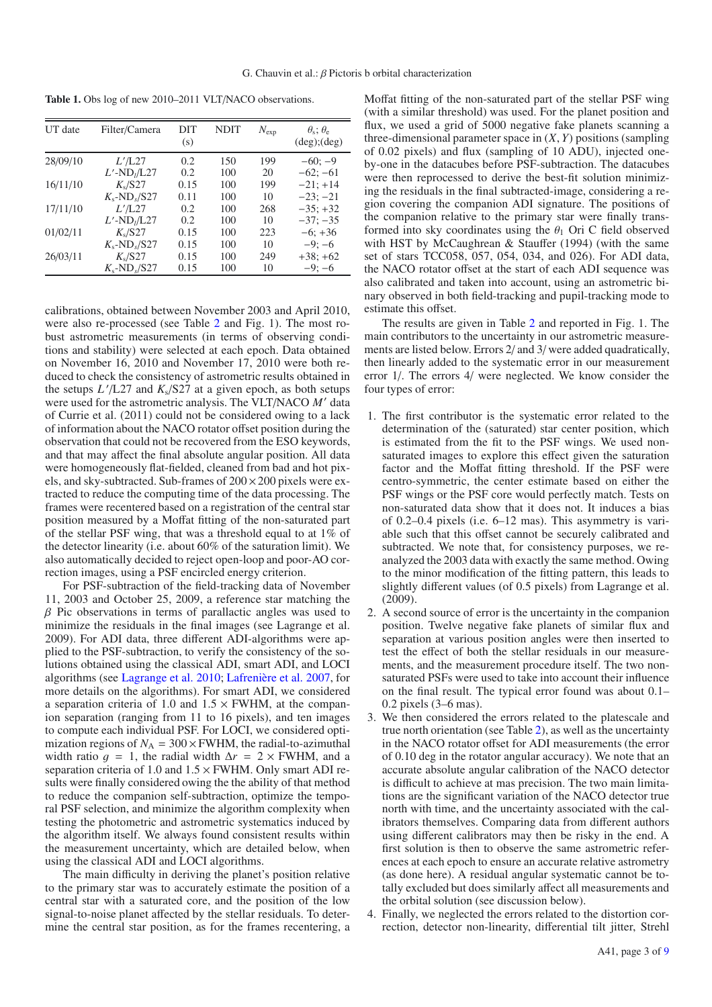<span id="page-2-0"></span>**Table 1.** Obs log of new 2010–2011 VLT/NACO observations.

| UT date  | Filter/Camera               | DIT<br>(s) | <b>NDIT</b> | $N_{\rm exp}$ | $\theta_{\rm s}$ ; $\theta_{\rm e}$<br>$(\deg)(\deg)$ |
|----------|-----------------------------|------------|-------------|---------------|-------------------------------------------------------|
| 28/09/10 | L'/L27                      | 0.2        | 150         | 199           | $-60: -9$                                             |
|          | $L'$ -ND <sub>I</sub> /L27  | 0.2        | 100         | 20            | $-62: -61$                                            |
| 16/11/10 | $K_s$ /S27                  | 0.15       | 100         | 199           | $-21: +14$                                            |
|          | $K_s$ -ND <sub>s</sub> /S27 | 0.11       | 100         | 10            | $-23: -21$                                            |
| 17/11/10 | L'/L27                      | 0.2        | 100         | 268           | $-35: +32$                                            |
|          | $L'$ -ND <sub>1</sub> /L27  | 0.2        | 100         | 10            | $-37: -35$                                            |
| 01/02/11 | $K_s$ /S27                  | 0.15       | 100         | 223           | $-6$ ; $+36$                                          |
|          | $K_s$ -ND $_s$ /S27         | 0.15       | 100         | 10            | $-9: -6$                                              |
| 26/03/11 | $K_s/S27$                   | 0.15       | 100         | 249           | $+38: +62$                                            |
|          | $K_s$ -ND $_s$ /S27         | 0.15       | 100         | 10            | $-9: -6$                                              |

calibrations, obtained between November 2003 and April 2010, were also re-processed (see Table [2](#page-3-0) and Fig. 1). The most robust astrometric measurements (in terms of observing conditions and stability) were selected at each epoch. Data obtained on November 16, 2010 and November 17, 2010 were both reduced to check the consistency of astrometric results obtained in the setups *L* /L27 and *K*s/S27 at a given epoch, as both setups were used for the astrometric analysis. The VLT/NACO M' data of Currie et al. (2011) could not be considered owing to a lack of information about the NACO rotator offset position during the observation that could not be recovered from the ESO keywords, and that may affect the final absolute angular position. All data were homogeneously flat-fielded, cleaned from bad and hot pixels, and sky-subtracted. Sub-frames of  $200 \times 200$  pixels were extracted to reduce the computing time of the data processing. The frames were recentered based on a registration of the central star position measured by a Moffat fitting of the non-saturated part of the stellar PSF wing, that was a threshold equal to at 1% of the detector linearity (i.e. about 60% of the saturation limit). We also automatically decided to reject open-loop and poor-AO correction images, using a PSF encircled energy criterion.

For PSF-subtraction of the field-tracking data of November 11, 2003 and October 25, 2009, a reference star matching the  $\beta$  Pic observations in terms of parallactic angles was used to minimize the residuals in the final images (see Lagrange et al. 2009). For ADI data, three different ADI-algorithms were applied to the PSF-subtraction, to verify the consistency of the solutions obtained using the classical ADI, smart ADI, and LOCI algorithms (see [Lagrange et al. 2010](#page-6-21); [Lafrenière et al. 2007](#page-6-22), for more details on the algorithms). For smart ADI, we considered a separation criteria of 1.0 and  $1.5 \times$  FWHM, at the companion separation (ranging from 11 to 16 pixels), and ten images to compute each individual PSF. For LOCI, we considered optimization regions of  $N_A = 300 \times FWHM$ , the radial-to-azimuthal width ratio  $q = 1$ , the radial width  $\Delta r = 2 \times$  FWHM, and a separation criteria of 1.0 and  $1.5 \times$  FWHM. Only smart ADI results were finally considered owing the the ability of that method to reduce the companion self-subtraction, optimize the temporal PSF selection, and minimize the algorithm complexity when testing the photometric and astrometric systematics induced by the algorithm itself. We always found consistent results within the measurement uncertainty, which are detailed below, when using the classical ADI and LOCI algorithms.

The main difficulty in deriving the planet's position relative to the primary star was to accurately estimate the position of a central star with a saturated core, and the position of the low signal-to-noise planet affected by the stellar residuals. To determine the central star position, as for the frames recentering, a Moffat fitting of the non-saturated part of the stellar PSF wing (with a similar threshold) was used. For the planet position and flux, we used a grid of 5000 negative fake planets scanning a three-dimensional parameter space in  $(X, Y)$  positions (sampling of 0.02 pixels) and flux (sampling of 10 ADU), injected oneby-one in the datacubes before PSF-subtraction. The datacubes were then reprocessed to derive the best-fit solution minimizing the residuals in the final subtracted-image, considering a region covering the companion ADI signature. The positions of the companion relative to the primary star were finally transformed into sky coordinates using the  $\theta_1$  Ori C field observed with HST by McCaughrean & Stauffer (1994) (with the same set of stars TCC058, 057, 054, 034, and 026). For ADI data, the NACO rotator offset at the start of each ADI sequence was also calibrated and taken into account, using an astrometric binary observed in both field-tracking and pupil-tracking mode to estimate this offset.

The results are given in Table [2](#page-3-0) and reported in Fig. 1. The main contributors to the uncertainty in our astrometric measurements are listed below. Errors 2/ and 3/ were added quadratically, then linearly added to the systematic error in our measurement error 1/. The errors 4/ were neglected. We know consider the four types of error:

- 1. The first contributor is the systematic error related to the determination of the (saturated) star center position, which is estimated from the fit to the PSF wings. We used nonsaturated images to explore this effect given the saturation factor and the Moffat fitting threshold. If the PSF were centro-symmetric, the center estimate based on either the PSF wings or the PSF core would perfectly match. Tests on non-saturated data show that it does not. It induces a bias of 0.2–0.4 pixels (i.e. 6–12 mas). This asymmetry is variable such that this offset cannot be securely calibrated and subtracted. We note that, for consistency purposes, we reanalyzed the 2003 data with exactly the same method. Owing to the minor modification of the fitting pattern, this leads to slightly different values (of 0.5 pixels) from Lagrange et al. (2009).
- 2. A second source of error is the uncertainty in the companion position. Twelve negative fake planets of similar flux and separation at various position angles were then inserted to test the effect of both the stellar residuals in our measurements, and the measurement procedure itself. The two nonsaturated PSFs were used to take into account their influence on the final result. The typical error found was about 0.1– 0.2 pixels (3–6 mas).
- 3. We then considered the errors related to the platescale and true north orientation (see Table [2\)](#page-3-0), as well as the uncertainty in the NACO rotator offset for ADI measurements (the error of 0.10 deg in the rotator angular accuracy). We note that an accurate absolute angular calibration of the NACO detector is difficult to achieve at mas precision. The two main limitations are the significant variation of the NACO detector true north with time, and the uncertainty associated with the calibrators themselves. Comparing data from different authors using different calibrators may then be risky in the end. A first solution is then to observe the same astrometric references at each epoch to ensure an accurate relative astrometry (as done here). A residual angular systematic cannot be totally excluded but does similarly affect all measurements and the orbital solution (see discussion below).
- 4. Finally, we neglected the errors related to the distortion correction, detector non-linearity, differential tilt jitter, Strehl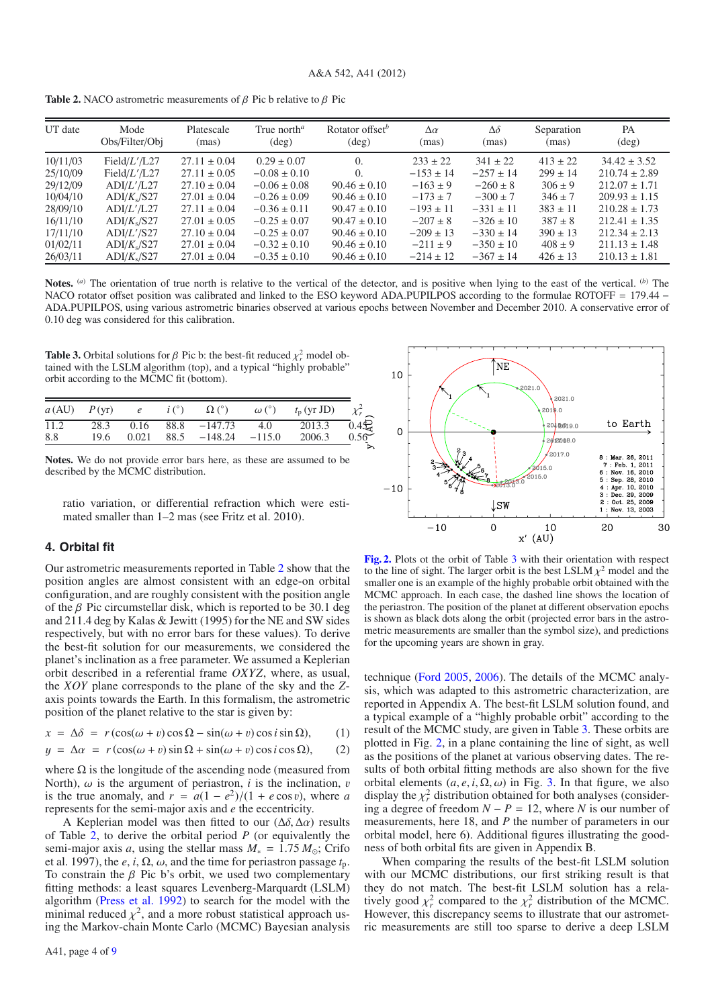<span id="page-3-0"></span>**Table 2.** NACO astrometric measurements of  $\beta$  Pic b relative to  $\beta$  Pic

<span id="page-3-1"></span>

| UT date  | Mode            | Platescale       | True north <sup><math>a</math></sup> | Rotator offset <sup>b</sup> | $\Delta \alpha$ | $\Delta\delta$ | Separation   | PA                |
|----------|-----------------|------------------|--------------------------------------|-----------------------------|-----------------|----------------|--------------|-------------------|
|          | Obs/Filter/Obj  | (mas)            | $(\text{deg})$                       | $(\text{deg})$              | (mas)           | (mas)          | (mas)        | $(\text{deg})$    |
| 10/11/03 | Field/ $L'/L27$ | $27.11 \pm 0.04$ | $0.29 \pm 0.07$                      | $\Omega$ .                  | $233 \pm 22$    | $341 \pm 22$   | $413 \pm 22$ | $34.42 \pm 3.52$  |
| 25/10/09 | Field/ $L'/L27$ | $27.11 \pm 0.05$ | $-0.08 \pm 0.10$                     | $\Omega$                    | $-153 \pm 14$   | $-257 \pm 14$  | $299 \pm 14$ | $210.74 \pm 2.89$ |
| 29/12/09 | ADI/L'/L27      | $27.10 \pm 0.04$ | $-0.06 \pm 0.08$                     | $90.46 \pm 0.10$            | $-163 \pm 9$    | $-260 \pm 8$   | $306 \pm 9$  | $212.07 + 1.71$   |
| 10/04/10 | $ADI/K_s/S27$   | $27.01 \pm 0.04$ | $-0.26 \pm 0.09$                     | $90.46 \pm 0.10$            | $-173 \pm 7$    | $-300 \pm 7$   | $346 \pm 7$  | $209.93 \pm 1.15$ |
| 28/09/10 | ADI/L'/L27      | $27.11 \pm 0.04$ | $-0.36 \pm 0.11$                     | $90.47 \pm 0.10$            | $-193 \pm 11$   | $-331 \pm 11$  | $383 \pm 11$ | $210.28 \pm 1.73$ |
| 16/11/10 | $ADI/K_s/S27$   | $27.01 \pm 0.05$ | $-0.25 \pm 0.07$                     | $90.47 \pm 0.10$            | $-207 \pm 8$    | $-326 \pm 10$  | $387 \pm 8$  | $212.41 + 1.35$   |
| 17/11/10 | ADI/L'/S27      | $27.10 \pm 0.04$ | $-0.25 \pm 0.07$                     | $90.46 \pm 0.10$            | $-209 \pm 13$   | $-330 \pm 14$  | $390 \pm 13$ | $212.34 \pm 2.13$ |
| 01/02/11 | $ADI/K_s/S27$   | $27.01 \pm 0.04$ | $-0.32 \pm 0.10$                     | $90.46 \pm 0.10$            | $-211 \pm 9$    | $-350 \pm 10$  | $408 \pm 9$  | $211.13 \pm 1.48$ |
| 26/03/11 | $ADI/K_s/S27$   | $27.01 \pm 0.04$ | $-0.35 \pm 0.10$                     | $90.46 \pm 0.10$            | $-214 \pm 12$   | $-367 \pm 14$  | $426 \pm 13$ | $210.13 \pm 1.81$ |

Notes. (*a*) The orientation of true north is relative to the vertical of the detector, and is positive when lying to the east of the vertical. (*b*) The NACO rotator offset position was calibrated and linked to the ESO keyword ADA.PUPILPOS according to the formulae ROTOFF = 179.44 − ADA.PUPILPOS, using various astrometric binaries observed at various epochs between November and December 2010. A conservative error of 0.10 deg was considered for this calibration.

**Table 3.** Orbital solutions for  $\beta$  Pic b: the best-fit reduced  $\chi_r^2$  model obtained with the LSLM algorithm (top) and a typical "highly probable" tained with the LSLM algorithm (top), and a typical "highly probable" orbit according to the MCMC fit (bottom).

|  |  |  | $a (AU)$ $P (yr)$ $e$ $i (°)$ $\Omega (°)$ $\omega (°)$ $t_p (yr JD)$ $\chi_r^2$ |  |
|--|--|--|----------------------------------------------------------------------------------|--|
|  |  |  | $\overline{11.2}$ 28.3 0.16 88.8 -147.73 4.0 2013.3 0.45                         |  |
|  |  |  | 8.8 19.6 0.021 88.5 -148.24 -115.0 2006.3 0.56                                   |  |
|  |  |  |                                                                                  |  |

**Notes.** We do not provide error bars here, as these are assumed to be described by the MCMC distribution.

ratio variation, or differential refraction which were estimated smaller than 1–2 mas (see Fritz et al. 2010).

# **4. Orbital fit**

Our astrometric measurements reported in Table [2](#page-3-0) show that the position angles are almost consistent with an edge-on orbital configuration, and are roughly consistent with the position angle of the  $\beta$  Pic circumstellar disk, which is reported to be 30.1 deg and 211.4 deg by Kalas & Jewitt (1995) for the NE and SW sides respectively, but with no error bars for these values). To derive the best-fit solution for our measurements, we considered the planet's inclination as a free parameter. We assumed a Keplerian orbit described in a referential frame *OXYZ*, where, as usual, the *XOY* plane corresponds to the plane of the sky and the *Z*axis points towards the Earth. In this formalism, the astrometric position of the planet relative to the star is given by:

<span id="page-3-3"></span>
$$
x = \Delta\delta = r(\cos(\omega + v)\cos\Omega - \sin(\omega + v)\cos i\sin\Omega), \qquad (1)
$$

$$
y = \Delta \alpha = r(\cos(\omega + v)\sin\Omega + \sin(\omega + v)\cos i\cos\Omega), \qquad (2)
$$

where  $\Omega$  is the longitude of the ascending node (measured from North),  $\omega$  is the argument of periastron, *i* is the inclination, *v* is the true anomaly, and  $r = a(1 - e^2)/(1 + e \cos v)$ , where *a* represents for the semi-major axis and *e* the eccentricity.

A Keplerian model was then fitted to our  $(\Delta \delta, \Delta \alpha)$  results of Table [2,](#page-3-0) to derive the orbital period *P* (or equivalently the semi-major axis *a*, using the stellar mass  $M_* = 1.75 M_{\odot}$ ; Crifo et al. 1997), the *e*, *i*,  $\Omega$ ,  $\omega$ , and the time for periastron passage  $t_p$ . To constrain the  $\beta$  Pic b's orbit, we used two complementary fitting methods: a least squares Levenberg-Marquardt (LSLM) algorithm [\(Press et al. 1992](#page-6-23)) to search for the model with the minimal reduced  $\chi^2$ , and a more robust statistical approach using the Markov-chain Monte Carlo (MCMC) Bayesian analysis

<span id="page-3-2"></span>

**[Fig. 2.](http://dexter.edpsciences.org/applet.php?DOI=10.1051/0004-6361/201118346&pdf_id=2)** Plots ot the orbit of Table [3](#page-3-1) with their orientation with respect to the line of sight. The larger orbit is the best LSLM  $\chi^2$  model and the smaller one is an example of the highly probable orbit obtained with the MCMC approach. In each case, the dashed line shows the location of the periastron. The position of the planet at different observation epochs is shown as black dots along the orbit (projected error bars in the astrometric measurements are smaller than the symbol size), and predictions for the upcoming years are shown in gray.

technique [\(Ford 2005,](#page-6-24) [2006](#page-6-25)). The details of the MCMC analysis, which was adapted to this astrometric characterization, are reported in Appendix A. The best-fit LSLM solution found, and a typical example of a "highly probable orbit" according to the result of the MCMC study, are given in Table [3.](#page-3-1) These orbits are plotted in Fig. [2,](#page-3-2) in a plane containing the line of sight, as well as the positions of the planet at various observing dates. The results of both orbital fitting methods are also shown for the five orbital elements  $(a, e, i, \Omega, \omega)$  in Fig. [3.](#page-4-0) In that figure, we also display the  $\chi^2$  distribution obtained for both analyses (consider-<br>ing a degree of freedom  $N - P = 12$  where N is our number of ing a degree of freedom *N* − *P* = 12, where *N* is our number of measurements, here 18, and *P* the number of parameters in our orbital model, here 6). Additional figures illustrating the goodness of both orbital fits are given in Appendix B.

When comparing the results of the best-fit LSLM solution with our MCMC distributions, our first striking result is that they do not match. The best-fit LSLM solution has a relatively good  $\chi^2_r$  compared to the  $\chi^2_r$  distribution of the MCMC.<br>However this discrepancy seems to illustrate that our astromet-However, this discrepancy seems to illustrate that our astrometric measurements are still too sparse to derive a deep LSLM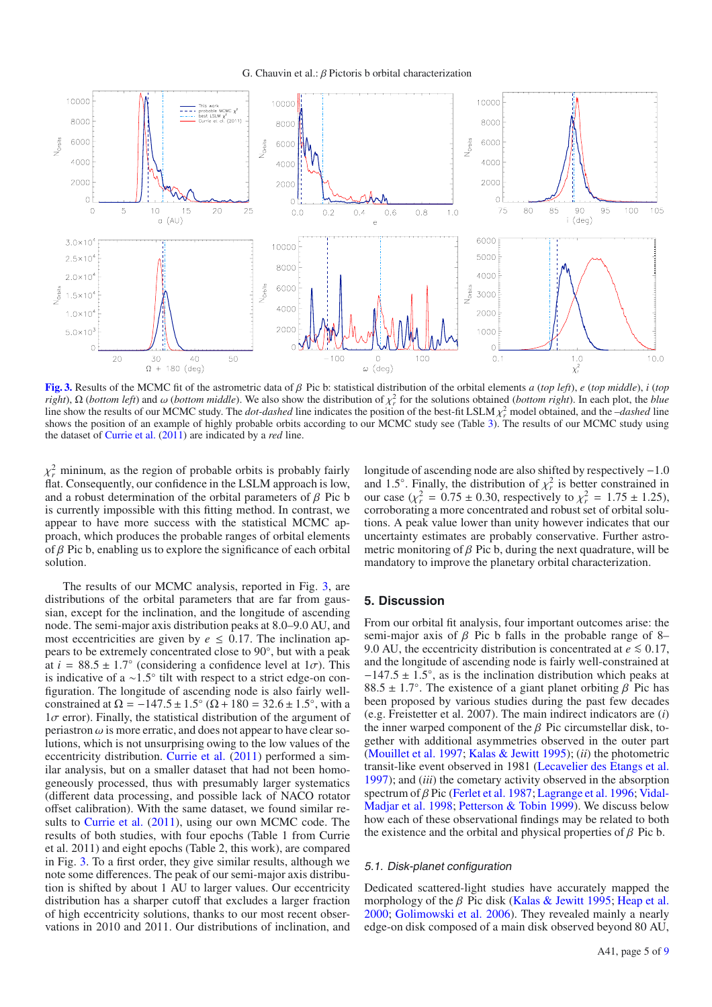G. Chauvin et al.: β Pictoris b orbital characterization

<span id="page-4-0"></span>

**[Fig. 3.](http://dexter.edpsciences.org/applet.php?DOI=10.1051/0004-6361/201118346&pdf_id=3)** Results of the MCMC fit of the astrometric data of β Pic b: statistical distribution of the orbital elements *<sup>a</sup>* (*top left*), *<sup>e</sup>* (*top middle*), *<sup>i</sup>* (*top right*),  $\Omega$  (*bottom left*) and  $\omega$  (*bottom middle*). We also show the distribution of  $\chi^2$  for the solutions obtained (*bottom right*). In each plot, the *blue* line show the results of our MCMC study. The *dot-da* line show the results of our MCMC study. The *dot-dashed* line indicates the position of the best-fit LSLM  $\chi_r^2$  model obtained, and the *–dashed* line shows the position of an example of bighly probable orbits accordin shows the position of an example of highly probable orbits according to our MCMC study see (Table [3\)](#page-3-1). The results of our MCMC study using the dataset of [Currie et al.](#page-6-26) [\(2011](#page-6-26)) are indicated by a *red* line.

 $\chi^2_r$  mininum, as the region of probable orbits is probably fairly flat Consequently our confidence in the LSLM approach is low flat. Consequently, our confidence in the LSLM approach is low, and a robust determination of the orbital parameters of  $\beta$  Pic b is currently impossible with this fitting method. In contrast, we appear to have more success with the statistical MCMC approach, which produces the probable ranges of orbital elements of  $\beta$  Pic b, enabling us to explore the significance of each orbital solution.

The results of our MCMC analysis, reported in Fig. [3,](#page-4-0) are distributions of the orbital parameters that are far from gaussian, except for the inclination, and the longitude of ascending node. The semi-major axis distribution peaks at 8.0–9.0 AU, and most eccentricities are given by  $e \leq 0.17$ . The inclination appears to be extremely concentrated close to 90◦, but with a peak at  $i = 88.5 \pm 1.7^{\circ}$  (considering a confidence level at  $1\sigma$ ). This is indicative of a ~1.5° tilt with respect to a strict edge-on conis indicative of a <sup>∼</sup>1.5◦ tilt with respect to a strict edge-on con-figuration. The longitude of ascending node is also fairly wellconstrained at  $\Omega = -147.5 \pm 1.5^{\circ}$  ( $\Omega + 180 = 32.6 \pm 1.5^{\circ}$ , with a  $1\sigma$  error). Finally, the statistical distribution of the argument of periastron  $\omega$  is more erratic, and does not appear to have clear solutions, which is not unsurprising owing to the low values of the eccentricity distribution. [Currie et al.](#page-6-26) [\(2011\)](#page-6-26) performed a similar analysis, but on a smaller dataset that had not been homogeneously processed, thus with presumably larger systematics (different data processing, and possible lack of NACO rotator offset calibration). With the same dataset, we found similar results to [Currie et al.](#page-6-26) [\(2011\)](#page-6-26), using our own MCMC code. The results of both studies, with four epochs (Table 1 from Currie et al. 2011) and eight epochs (Table 2, this work), are compared in Fig. [3.](#page-4-0) To a first order, they give similar results, although we note some differences. The peak of our semi-major axis distribution is shifted by about 1 AU to larger values. Our eccentricity distribution has a sharper cutoff that excludes a larger fraction of high eccentricity solutions, thanks to our most recent observations in 2010 and 2011. Our distributions of inclination, and longitude of ascending node are also shifted by respectively −1.0 and 1.5°. Finally, the distribution of  $\chi^2$  is better constrained in our case  $(\chi^2 = 0.75 + 0.30)$  respectively to  $\chi^2 = 1.75 + 1.25$ our case  $(\chi^2_r = 0.75 \pm 0.30$ , respectively to  $\chi^2_r = 1.75 \pm 1.25$ ), corroborating a more concentrated and robust set of orbital solucorroborating a more concentrated and robust set of orbital solutions. A peak value lower than unity however indicates that our uncertainty estimates are probably conservative. Further astrometric monitoring of  $\beta$  Pic b, during the next quadrature, will be mandatory to improve the planetary orbital characterization.

# **5. Discussion**

From our orbital fit analysis, four important outcomes arise: the semi-major axis of  $\beta$  Pic b falls in the probable range of 8– 9.0 AU, the eccentricity distribution is concentrated at  $e \le 0.17$ , and the longitude of ascending node is fairly well-constrained at  $-147.5 \pm 1.5^{\circ}$ , as is the inclination distribution which peaks at 88.5  $\pm$  1.7°. The existence of a giant planet orbiting  $\beta$  Pic has been proposed by various studies during the past few decades (e.g. Freistetter et al. 2007). The main indirect indicators are (*i*) the inner warped component of the  $\beta$  Pic circumstellar disk, together with additional asymmetries observed in the outer part [\(Mouillet et al. 1997;](#page-6-16) [Kalas & Jewitt 1995](#page-6-27)); (*ii*) the photometric transit-like event observed in 1981 [\(Lecavelier des Etangs et al.](#page-6-28) [1997\)](#page-6-28); and (*iii*) the cometary activity observed in the absorption spectrum of β [Pic](#page-6-31) [\(Ferlet et al. 1987](#page-6-29)[;](#page-6-31) [Lagrange et al. 1996;](#page-6-30) Vidal-Madjar et al. [1998](#page-6-31); [Petterson & Tobin 1999\)](#page-6-32). We discuss below how each of these observational findings may be related to both the existence and the orbital and physical properties of  $\beta$  Pic b.

#### 5.1. Disk-planet configuration

Dedicated scattered-light studies have accurately mapped the morphology of the  $\beta$  Pic disk [\(Kalas & Jewitt 1995;](#page-6-27) [Heap et al.](#page-6-33) [2000;](#page-6-33) [Golimowski et al. 2006](#page-6-34)). They revealed mainly a nearly edge-on disk composed of a main disk observed beyond 80 AU,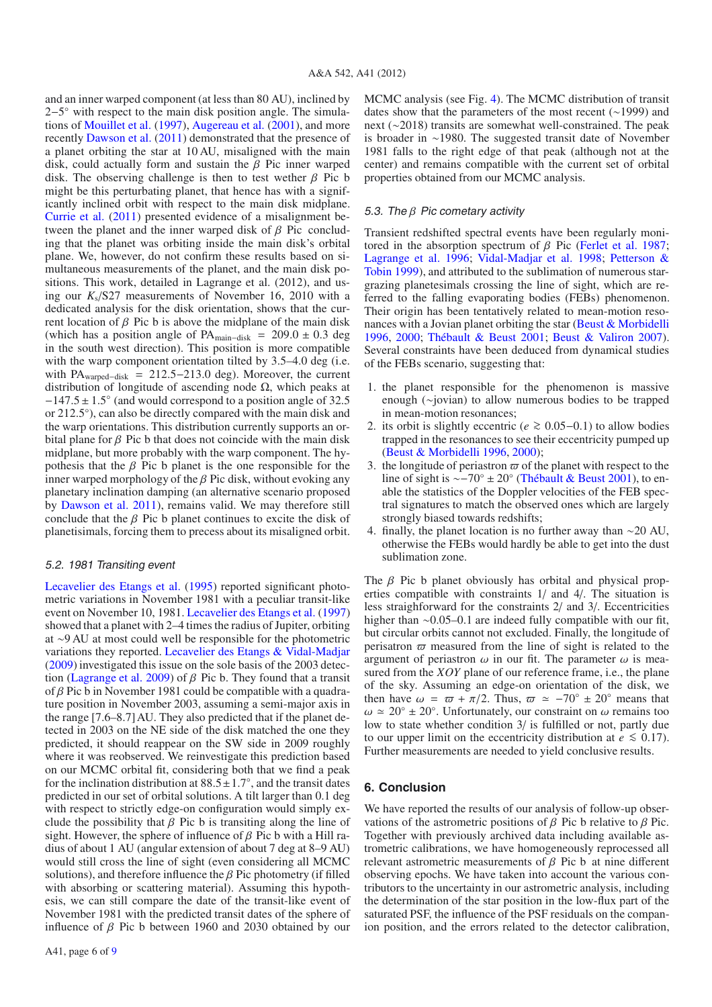and an inner warped component (at less than 80 AU), inclined by 2−5<sup>°</sup> with respect to the main disk position angle. The simulations of [Mouillet et al.](#page-6-16) [\(1997\)](#page-6-16), [Augereau et al.](#page-6-17) [\(2001](#page-6-17)), and more recently [Dawson et al.](#page-6-18) [\(2011\)](#page-6-18) demonstrated that the presence of a planet orbiting the star at 10 AU, misaligned with the main disk, could actually form and sustain the  $\beta$  Pic inner warped disk. The observing challenge is then to test wether  $\beta$  Pic b might be this perturbating planet, that hence has with a significantly inclined orbit with respect to the main disk midplane. [Currie et al.](#page-6-26) [\(2011](#page-6-26)) presented evidence of a misalignment between the planet and the inner warped disk of  $\beta$  Pic concluding that the planet was orbiting inside the main disk's orbital plane. We, however, do not confirm these results based on simultaneous measurements of the planet, and the main disk positions. This work, detailed in Lagrange et al. (2012), and using our *K*s/S27 measurements of November 16, 2010 with a dedicated analysis for the disk orientation, shows that the current location of  $\beta$  Pic b is above the midplane of the main disk (which has a position angle of PA<sub>main−disk</sub> = 209.0  $\pm$  0.3 deg in the south west direction). This position is more compatible with the warp component orientation tilted by 3.5–4.0 deg (i.e. with PA<sub>warped–disk</sub> = 212.5–213.0 deg). Moreover, the current distribution of longitude of ascending node Ω, which peaks at  $-147.5 \pm 1.5^\circ$  (and would correspond to a position angle of 32.5 or 212.5◦), can also be directly compared with the main disk and the warp orientations. This distribution currently supports an orbital plane for  $\beta$  Pic b that does not coincide with the main disk midplane, but more probably with the warp component. The hypothesis that the  $\beta$  Pic b planet is the one responsible for the inner warped morphology of the  $\beta$  Pic disk, without evoking any planetary inclination damping (an alternative scenario proposed by [Dawson et al. 2011](#page-6-18)), remains valid. We may therefore still conclude that the  $\beta$  Pic b planet continues to excite the disk of planetisimals, forcing them to precess about its misaligned orbit.

#### 5.2. 1981 Transiting event

Lecavelier des Etangs et al. [\(1995\)](#page-6-35) reported significant photometric variations in November 1981 with a peculiar transit-like event on November 10, 1981. [Lecavelier des Etangs et al.](#page-6-28) [\(1997](#page-6-28)) showed that a planet with 2–4 times the radius of Jupiter, orbiting at ∼9 AU at most could well be responsible for the photometric variations they reported. [Lecavelier des Etangs & Vidal-Madjar](#page-6-36) [\(2009](#page-6-36)) investigated this issue on the sole basis of the 2003 detec-tion [\(Lagrange et al. 2009](#page-6-5)) of  $\beta$  Pic b. They found that a transit of  $\beta$  Pic b in November 1981 could be compatible with a quadrature position in November 2003, assuming a semi-major axis in the range [7.6–8.7]AU. They also predicted that if the planet detected in 2003 on the NE side of the disk matched the one they predicted, it should reappear on the SW side in 2009 roughly where it was reobserved. We reinvestigate this prediction based on our MCMC orbital fit, considering both that we find a peak for the inclination distribution at  $88.5 \pm 1.7^\circ$ , and the transit dates predicted in our set of orbital solutions. A tilt larger than 0.1 deg predicted in our set of orbital solutions. A tilt larger than 0.1 deg with respect to strictly edge-on configuration would simply exclude the possibility that  $\beta$  Pic b is transiting along the line of sight. However, the sphere of influence of  $\beta$  Pic b with a Hill radius of about 1 AU (angular extension of about 7 deg at 8–9 AU) would still cross the line of sight (even considering all MCMC solutions), and therefore influence the  $\beta$  Pic photometry (if filled with absorbing or scattering material). Assuming this hypothesis, we can still compare the date of the transit-like event of November 1981 with the predicted transit dates of the sphere of influence of  $β$  Pic b between 1960 and 2030 obtained by our MCMC analysis (see Fig. [4\)](#page-6-37). The MCMC distribution of transit dates show that the parameters of the most recent (∼1999) and next (∼2018) transits are somewhat well-constrained. The peak is broader in ∼1980. The suggested transit date of November 1981 falls to the right edge of that peak (although not at the center) and remains compatible with the current set of orbital properties obtained from our MCMC analysis.

# 5.3. The β Pic cometary activity

Transient redshifted spectral events have been regularly monitored in the absorption spectrum of  $\beta$  Pic [\(Ferlet et al. 1987;](#page-6-29) [Lagrange et al. 1996](#page-6-30); [Vidal-Madjar et al. 1998](#page-6-31)[;](#page-6-32) Petterson & Tobin [1999](#page-6-32)), and attributed to the sublimation of numerous stargrazing planetesimals crossing the line of sight, which are referred to the falling evaporating bodies (FEBs) phenomenon. Their origin has been tentatively related to mean-motion resonances with a Jovian planet orbiting the star [\(Beust & Morbidelli](#page-6-38) [1996,](#page-6-38) [2000;](#page-6-39) [Thébault & Beust 2001](#page-6-40); [Beust & Valiron 2007\)](#page-6-41). Several constraints have been deduced from dynamical studies of the FEBs scenario, suggesting that:

- 1. the planet responsible for the phenomenon is massive enough (∼jovian) to allow numerous bodies to be trapped in mean-motion resonances;
- 2. its orbit is slightly eccentric (*<sup>e</sup>* <sup>&</sup>gt;<sup>∼</sup> <sup>0</sup>.05−0.1) to allow bodies trapped in the resonances to see their eccentricity pumped up [\(Beust & Morbidelli 1996](#page-6-38), [2000](#page-6-39));
- 3. the longitude of periastron  $\varpi$  of the planet with respect to the line of sight is  $\sim -70^{\circ} + 20^{\circ}$  (Thébault & Beust 2001) to enline of sight is ∼−70◦ ± 20◦ [\(Thébault & Beust 2001](#page-6-40)), to enable the statistics of the Doppler velocities of the FEB spectral signatures to match the observed ones which are largely strongly biased towards redshifts;
- 4. finally, the planet location is no further away than ∼20 AU, otherwise the FEBs would hardly be able to get into the dust sublimation zone.

The β Pic b planet obviously has orbital and physical properties compatible with constraints 1/ and 4/. The situation is less straighforward for the constraints 2/ and 3/. Eccentricities higher than ∼0.05–0.1 are indeed fully compatible with our fit, but circular orbits cannot not excluded. Finally, the longitude of perisatron  $\varpi$  measured from the line of sight is related to the argument of periastron  $\omega$  in our fit. The parameter  $\omega$  is meaargument of periastron  $\omega$  in our fit. The parameter  $\omega$  is measured from the *XOY* plane of our reference frame, i.e., the plane of the sky. Assuming an edge-on orientation of the disk, we then have  $\omega = \omega + \pi/2$ . Thus,  $\omega \approx -70^{\circ} \pm 20^{\circ}$  means that  $\omega \approx 20^{\circ} + 20^{\circ}$  Unfortunately our constraint on  $\omega$  remains too  $\omega \approx 20^{\circ} \pm 20^{\circ}$ . Unfortunately, our constraint on  $\omega$  remains too low to state whether condition 3/ is fulfilled or not, partly due  $\omega \approx 20^{\circ} \pm 20^{\circ}$ . Unfortunately, our constraint on  $\omega$  remains too to our upper limit on the eccentricity distribution at  $e \leq 0.17$ . Further measurements are needed to yield conclusive results.

## **6. Conclusion**

We have reported the results of our analysis of follow-up observations of the astrometric positions of  $\beta$  Pic b relative to  $\beta$  Pic. Together with previously archived data including available astrometric calibrations, we have homogeneously reprocessed all relevant astrometric measurements of  $\beta$  Pic b at nine different observing epochs. We have taken into account the various contributors to the uncertainty in our astrometric analysis, including the determination of the star position in the low-flux part of the saturated PSF, the influence of the PSF residuals on the companion position, and the errors related to the detector calibration,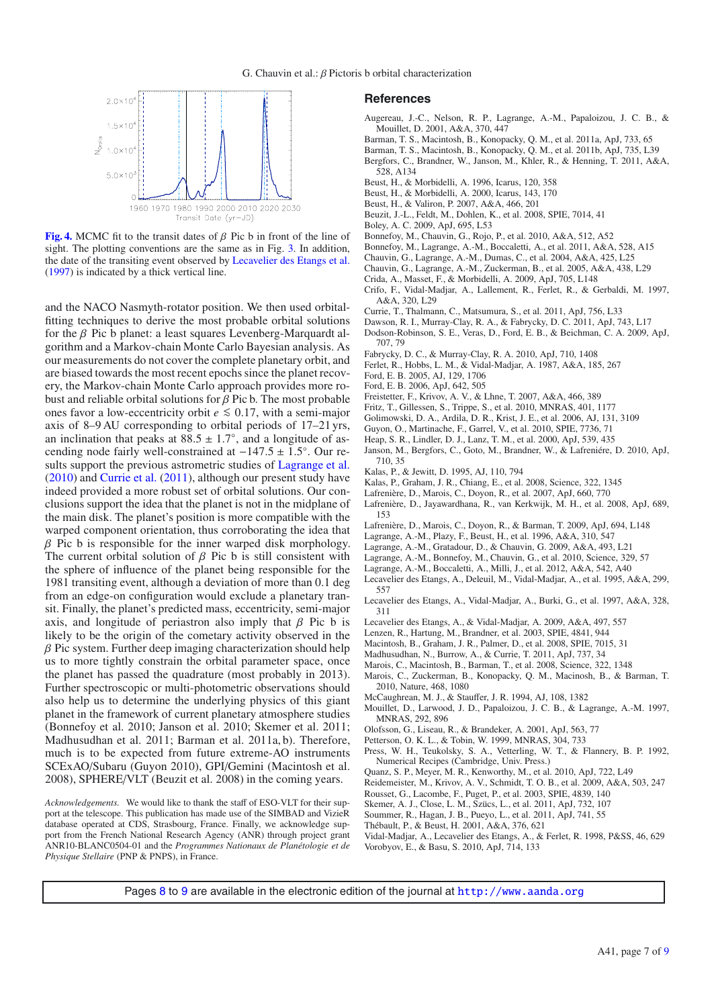<span id="page-6-37"></span>

**[Fig. 4.](http://dexter.edpsciences.org/applet.php?DOI=10.1051/0004-6361/201118346&pdf_id=4)** MCMC fit to the transit dates of  $\beta$  Pic b in front of the line of sight. The plotting conventions are the same as in Fig. [3.](#page-4-0) In addition, the date of the transiting event observed by [Lecavelier des Etangs et al.](#page-6-28) [\(1997](#page-6-28)) is indicated by a thick vertical line.

and the NACO Nasmyth-rotator position. We then used orbitalfitting techniques to derive the most probable orbital solutions for the  $\beta$  Pic b planet: a least squares Levenberg-Marquardt algorithm and a Markov-chain Monte Carlo Bayesian analysis. As our measurements do not cover the complete planetary orbit, and are biased towards the most recent epochs since the planet recovery, the Markov-chain Monte Carlo approach provides more robust and reliable orbital solutions for  $\beta$  Pic b. The most probable ones favor a low-eccentricity orbit  $e ≤ 0.17$ , with a semi-major axis of 8–9 AU corresponding to orbital periods of 17–21 yrs, an inclination that peaks at  $88.5 \pm 1.7^\circ$ , and a longitude of ascending node fairly well-constrained at <sup>−</sup>147.<sup>5</sup> <sup>±</sup> <sup>1</sup>.5◦. Our results support the previous astrometric studies of [Lagrange et al.](#page-6-21) [\(2010](#page-6-21)) and [Currie et al.](#page-6-26) [\(2011](#page-6-26)), although our present study have indeed provided a more robust set of orbital solutions. Our conclusions support the idea that the planet is not in the midplane of the main disk. The planet's position is more compatible with the warped component orientation, thus corroborating the idea that  $\beta$  Pic b is responsible for the inner warped disk morphology. The current orbital solution of  $\beta$  Pic b is still consistent with the sphere of influence of the planet being responsible for the 1981 transiting event, although a deviation of more than 0.1 deg from an edge-on configuration would exclude a planetary transit. Finally, the planet's predicted mass, eccentricity, semi-major axis, and longitude of periastron also imply that  $\beta$  Pic b is likely to be the origin of the cometary activity observed in the  $\beta$  Pic system. Further deep imaging characterization should help us to more tightly constrain the orbital parameter space, once the planet has passed the quadrature (most probably in 2013). Further spectroscopic or multi-photometric observations should also help us to determine the underlying physics of this giant planet in the framework of current planetary atmosphere studies (Bonnefoy et al. 2010; Janson et al. 2010; Skemer et al. 2011; Madhusudhan et al. 2011; Barman et al. 2011a, b). Therefore, much is to be expected from future extreme-AO instruments SCExAO/Subaru (Guyon 2010), GPI/Gemini (Macintosh et al. 2008), SPHERE/VLT (Beuzit et al. 2008) in the coming years.

*Acknowledgements.* We would like to thank the staff of ESO-VLT for their support at the telescope. This publication has made use of the SIMBAD and VizieR database operated at CDS, Strasbourg, France. Finally, we acknowledge support from the French National Research Agency (ANR) through project grant ANR10-BLANC0504-01 and the *Programmes Nationaux de Planétologie et de Physique Stellaire* (PNP & PNPS), in France.

## **References**

- <span id="page-6-17"></span>Augereau, J.-C., Nelson, R. P., Lagrange, A.-M., Papaloizou, J. C. B., & Mouillet, D. 2001, A&A, 370, 447
- Barman, T. S., Macintosh, B., Konopacky, Q. M., et al. 2011a, ApJ, 733, 65
- Barman, T. S., Macintosh, B., Konopacky, Q. M., et al. 2011b, ApJ, 735, L39
- <span id="page-6-12"></span>Bergfors, C., Brandner, W., Janson, M., Khler, R., & Henning, T. 2011, A&A, 528, A134
- 
- <span id="page-6-38"></span>Beust, H., & Morbidelli, A. 1996, Icarus, 120, 358
- Beust, H., & Morbidelli, A. 2000, Icarus, 143, 170
- <span id="page-6-41"></span><span id="page-6-39"></span>Beust, H., & Valiron, P. 2007, A&A, 466, 201
- Beuzit, J.-L., Feldt, M., Dohlen, K., et al. 2008, SPIE, 7014, 41
- <span id="page-6-7"></span>Boley, A. C. 2009, ApJ, 695, L53
- Bonnefoy, M., Chauvin, G., Rojo, P., et al. 2010, A&A, 512, A52
- <span id="page-6-0"></span>Bonnefoy, M., Lagrange, A.-M., Boccaletti, A., et al. 2011, A&A, 528, A15
- Chauvin, G., Lagrange, A.-M., Dumas, C., et al. 2004, A&A, 425, L25
- <span id="page-6-1"></span>Chauvin, G., Lagrange, A.-M., Zuckerman, B., et al. 2005, A&A, 438, L29
- <span id="page-6-10"></span>Crida, A., Masset, F., & Morbidelli, A. 2009, ApJ, 705, L148
- Crifo, F., Vidal-Madjar, A., Lallement, R., Ferlet, R., & Gerbaldi, M. 1997, A&A, 320, L29
- Currie, T., Thalmann, C., Matsumura, S., et al. 2011, ApJ, 756, L33
- Dawson, R. I., Murray-Clay, R. A., & Fabrycky, D. C. 2011, ApJ, 743, L17
- <span id="page-6-26"></span><span id="page-6-18"></span><span id="page-6-8"></span>Dodson-Robinson, S. E., Veras, D., Ford, E. B., & Beichman, C. A. 2009, ApJ, 707, 79
- Fabrycky, D. C., & Murray-Clay, R. A. 2010, ApJ, 710, 1408
- <span id="page-6-29"></span><span id="page-6-24"></span><span id="page-6-15"></span>Ferlet, R., Hobbs, L. M., & Vidal-Madjar, A. 1987, A&A, 185, 267
- Ford, E. B. 2005, AJ, 129, 1706
- Ford, E. B. 2006, ApJ, 642, 505
- Freistetter, F., Krivov, A. V., & Lhne, T. 2007, A&A, 466, 389
- 
- <span id="page-6-34"></span><span id="page-6-25"></span>Fritz, T., Gillessen, S., Trippe, S., et al. 2010, MNRAS, 401, 1177
- Golimowski, D. A., Ardila, D. R., Krist, J. E., et al. 2006, AJ, 131, 3109
- Guyon, O., Martinache, F., Garrel, V., et al. 2010, SPIE, 7736, 71
- <span id="page-6-33"></span>Heap, S. R., Lindler, D. J., Lanz, T. M., et al. 2000, ApJ, 539, 435
- Janson, M., Bergfors, C., Goto, M., Brandner, W., & Lafreniére, D. 2010, ApJ, 710, 35
- Kalas, P., & Jewitt, D. 1995, AJ, 110, 794
- Kalas, P., Graham, J. R., Chiang, E., et al. 2008, Science, 322, 1345
- <span id="page-6-27"></span><span id="page-6-22"></span><span id="page-6-3"></span><span id="page-6-2"></span>Lafrenière, D., Marois, C., Doyon, R., et al. 2007, ApJ, 660, 770
- Lafrenière, D., Jayawardhana, R., van Kerkwijk, M. H., et al. 2008, ApJ, 689, 153
- Lafrenière, D., Marois, C., Doyon, R., & Barman, T. 2009, ApJ, 694, L148
- <span id="page-6-30"></span><span id="page-6-11"></span><span id="page-6-5"></span>Lagrange, A.-M., Plazy, F., Beust, H., et al. 1996, A&A, 310, 547
- Lagrange, A.-M., Gratadour, D., & Chauvin, G. 2009, A&A, 493, L21
- <span id="page-6-21"></span>Lagrange, A.-M., Bonnefoy, M., Chauvin, G., et al. 2010, Science, 329, 57
- Lagrange, A.-M., Boccaletti, A., Milli, J., et al. 2012, A&A, 542, A40
- <span id="page-6-35"></span>Lecavelier des Etangs, A., Deleuil, M., Vidal-Madjar, A., et al. 1995, A&A, 299, 557
- <span id="page-6-28"></span>Lecavelier des Etangs, A., Vidal-Madjar, A., Burki, G., et al. 1997, A&A, 328, 311
- Lecavelier des Etangs, A., & Vidal-Madjar, A. 2009, A&A, 497, 557
- <span id="page-6-36"></span>Lenzen, R., Hartung, M., Brandner, et al. 2003, SPIE, 4841, 944
- <span id="page-6-20"></span>Macintosh, B., Graham, J. R., Palmer, D., et al. 2008, SPIE, 7015, 31
- <span id="page-6-6"></span><span id="page-6-4"></span>Madhusudhan, N., Burrow, A., & Currie, T. 2011, ApJ, 737, 34
- Marois, C., Macintosh, B., Barman, T., et al. 2008, Science, 322, 1348
- Marois, C., Zuckerman, B., Konopacky, Q. M., Macinosh, B., & Barman, T. 2010, Nature, 468, 1080
- McCaughrean, M. J., & Stauffer, J. R. 1994, AJ, 108, 1382
- <span id="page-6-16"></span>Mouillet, D., Larwood, J. D., Papaloizou, J. C. B., & Lagrange, A.-M. 1997, MNRAS, 292, 896
- <span id="page-6-42"></span>Olofsson, G., Liseau, R., & Brandeker, A. 2001, ApJ, 563, 77
- <span id="page-6-32"></span>Petterson, O. K. L., & Tobin, W. 1999, MNRAS, 304, 733
- <span id="page-6-23"></span>Press, W. H., Teukolsky, S. A., Vetterling, W. T., & Flannery, B. P. 1992, Numerical Recipes (Cambridge, Univ. Press.)
- Quanz, S. P., Meyer, M. R., Kenworthy, M., et al. 2010, ApJ, 722, L49
- <span id="page-6-14"></span>Reidemeister, M., Krivov, A. V., Schmidt, T. O. B., et al. 2009, A&A, 503, 247
- Rousset, G., Lacombe, F., Puget, P., et al. 2003, SPIE, 4839, 140
- Skemer, A. J., Close, L. M., Szücs, L., et al. 2011, ApJ, 732, 107
- <span id="page-6-40"></span><span id="page-6-19"></span><span id="page-6-13"></span>Soummer, R., Hagan, J. B., Pueyo, L., et al. 2011, ApJ, 741, 55
- Thébault, P., & Beust, H. 2001, A&A, 376, 621
- <span id="page-6-31"></span><span id="page-6-9"></span>Vidal-Madjar, A., Lecavelier des Etangs, A., & Ferlet, R. 1998, P&SS, 46, 629 Vorobyov, E., & Basu, S. 2010, ApJ, 714, 133

Pages [8](#page-7-0) to [9](#page-8-0) are available in the electronic edition of the journal at <http://www.aanda.org>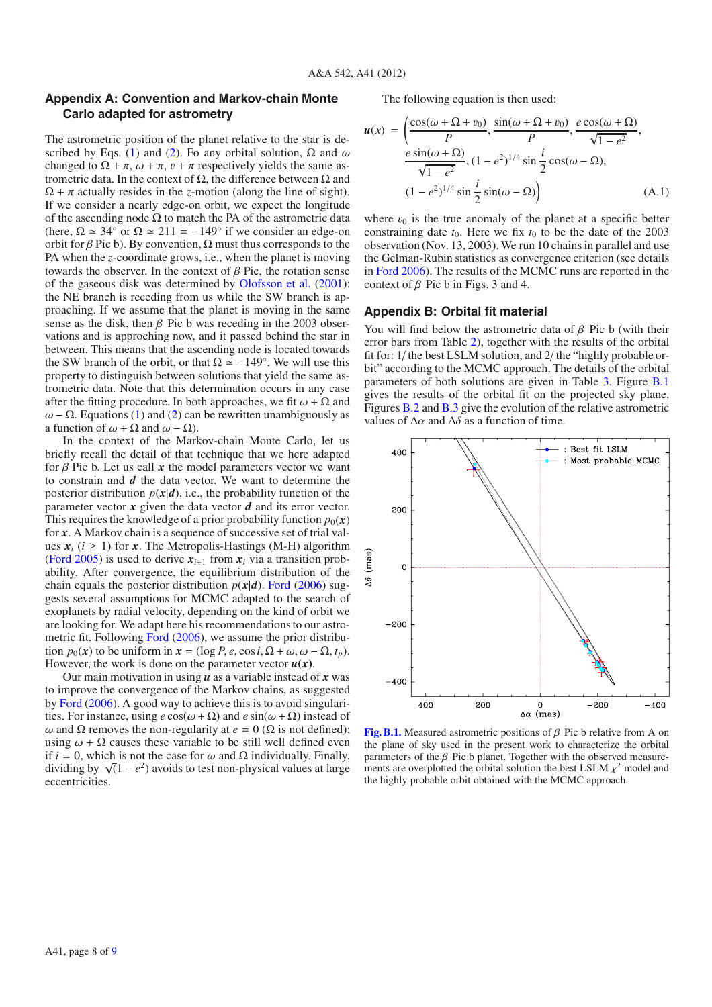# <span id="page-7-0"></span>**Appendix A: Convention and Markov-chain Monte Carlo adapted for astrometry**

The astrometric position of the planet relative to the star is de-scribed by Eqs. [\(1\)](#page-3-3) and [\(2\)](#page-3-3). Fo any orbital solution,  $\Omega$  and  $\omega$ changed to  $\Omega + \pi$ ,  $\omega + \pi$ ,  $v + \pi$  respectively yields the same astrometric data. In the context of Ω, the difference between Ω and  $\Omega + \pi$  actually resides in the *z*-motion (along the line of sight). If we consider a nearly edge-on orbit, we expect the longitude of the ascending node  $\Omega$  to match the PA of the astrometric data (here,  $\Omega \simeq 34^\circ$  or  $\Omega \simeq 211 = -149^\circ$  if we consider an edge-on orbit for β Pic b). By convention,  $\Omega$  must thus corresponds to the PA when the *z*-coordinate grows, i.e., when the planet is moving towards the observer. In the context of  $\beta$  Pic, the rotation sense of the gaseous disk was determined by [Olofsson et al.](#page-6-42) [\(2001\)](#page-6-42): the NE branch is receding from us while the SW branch is approaching. If we assume that the planet is moving in the same sense as the disk, then  $\beta$  Pic b was receding in the 2003 observations and is approching now, and it passed behind the star in between. This means that the ascending node is located towards the SW branch of the orbit, or that  $\Omega \simeq -149^\circ$ . We will use this property to distinguish between solutions that yield the same astrometric data. Note that this determination occurs in any case after the fitting procedure. In both approaches, we fit  $\omega + \Omega$  and  $\omega$  –  $\Omega$ . Equations [\(1\)](#page-3-3) and [\(2\)](#page-3-3) can be rewritten unambiguously as a function of  $\omega + \Omega$  and  $\omega - \Omega$ ).

In the context of the Markov-chain Monte Carlo, let us briefly recall the detail of that technique that we here adapted for  $\beta$  Pic b. Let us call  $x$  the model parameters vector we want to constrain and *d* the data vector. We want to determine the posterior distribution  $p(x|d)$ , i.e., the probability function of the parameter vector *x* given the data vector *d* and its error vector. This requires the knowledge of a prior probability function  $p_0(x)$ for *x*. A Markov chain is a sequence of successive set of trial values  $x_i$  ( $i \ge 1$ ) for x. The Metropolis-Hastings (M-H) algorithm [\(Ford 2005\)](#page-6-24) is used to derive  $x_{i+1}$  from  $x_i$  via a transition probability. After convergence, the equilibrium distribution of the chain equals the posterior distribution  $p(x|d)$ . [Ford](#page-6-25) [\(2006](#page-6-25)) suggests several assumptions for MCMC adapted to the search of exoplanets by radial velocity, depending on the kind of orbit we are looking for. We adapt here his recommendations to our astrometric fit. Following [Ford](#page-6-25) [\(2006](#page-6-25)), we assume the prior distribution  $p_0(x)$  to be uniform in  $x = (\log P, e, \cos i, \Omega + \omega, \omega - \Omega, t_n)$ . However, the work is done on the parameter vector  $u(x)$ .

Our main motivation in using *u* as a variable instead of *x* was to improve the convergence of the Markov chains, as suggested by [Ford](#page-6-25) [\(2006](#page-6-25)). A good way to achieve this is to avoid singularities. For instance, using  $e \cos(\omega + \Omega)$  and  $e \sin(\omega + \Omega)$  instead of ω and Ω removes the non-regularity at  $e = 0$  (Ω is not defined); using  $\omega + \Omega$  causes these variable to be still well defined even if  $i = 0$ , which is not the case for  $\omega$  and  $\Omega$  individually. Finally,  $\sqrt{(1-e^2)}$  avoids to test non-physical values at large eccentricities.

The following equation is then used:

$$
\mathbf{u}(x) = \left(\frac{\cos(\omega + \Omega + v_0)}{P}, \frac{\sin(\omega + \Omega + v_0)}{P}, \frac{e \cos(\omega + \Omega)}{\sqrt{1 - e^2}}, \frac{e \sin(\omega + \Omega)}{\sqrt{1 - e^2}}, (1 - e^2)^{1/4} \sin \frac{i}{2} \cos(\omega - \Omega), \frac{1}{2} \sin(\omega - \Omega)\right)
$$
(A.1)

where  $v_0$  is the true anomaly of the planet at a specific better constraining date  $t_0$ . Here we fix  $t_0$  to be the date of the 2003 observation (Nov. 13, 2003). We run 10 chains in parallel and use the Gelman-Rubin statistics as convergence criterion (see details in [Ford 2006\)](#page-6-25). The results of the MCMC runs are reported in the context of  $\beta$  Pic b in Figs. 3 and 4.

# **Appendix B: Orbital fit material**

You will find below the astrometric data of  $\beta$  Pic b (with their error bars from Table [2\)](#page-3-0), together with the results of the orbital fit for: 1/ the best LSLM solution, and 2/ the "highly probable orbit" according to the MCMC approach. The details of the orbital parameters of both solutions are given in Table [3.](#page-3-1) Figure [B.1](#page-7-1) gives the results of the orbital fit on the projected sky plane. Figures [B.2](#page-8-1) and [B.3](#page-8-2) give the evolution of the relative astrometric values of  $\Delta \alpha$  and  $\Delta \delta$  as a function of time.

<span id="page-7-1"></span>

**[Fig. B.1.](http://dexter.edpsciences.org/applet.php?DOI=10.1051/0004-6361/201118346&pdf_id=5)** Measured astrometric positions of β Pic b relative from A on the plane of sky used in the present work to characterize the orbital parameters of the  $\beta$  Pic b planet. Together with the observed measurements are overplotted the orbital solution the best LSLM  $\chi^2$  model and the highly probable orbit obtained with the MCMC approach.